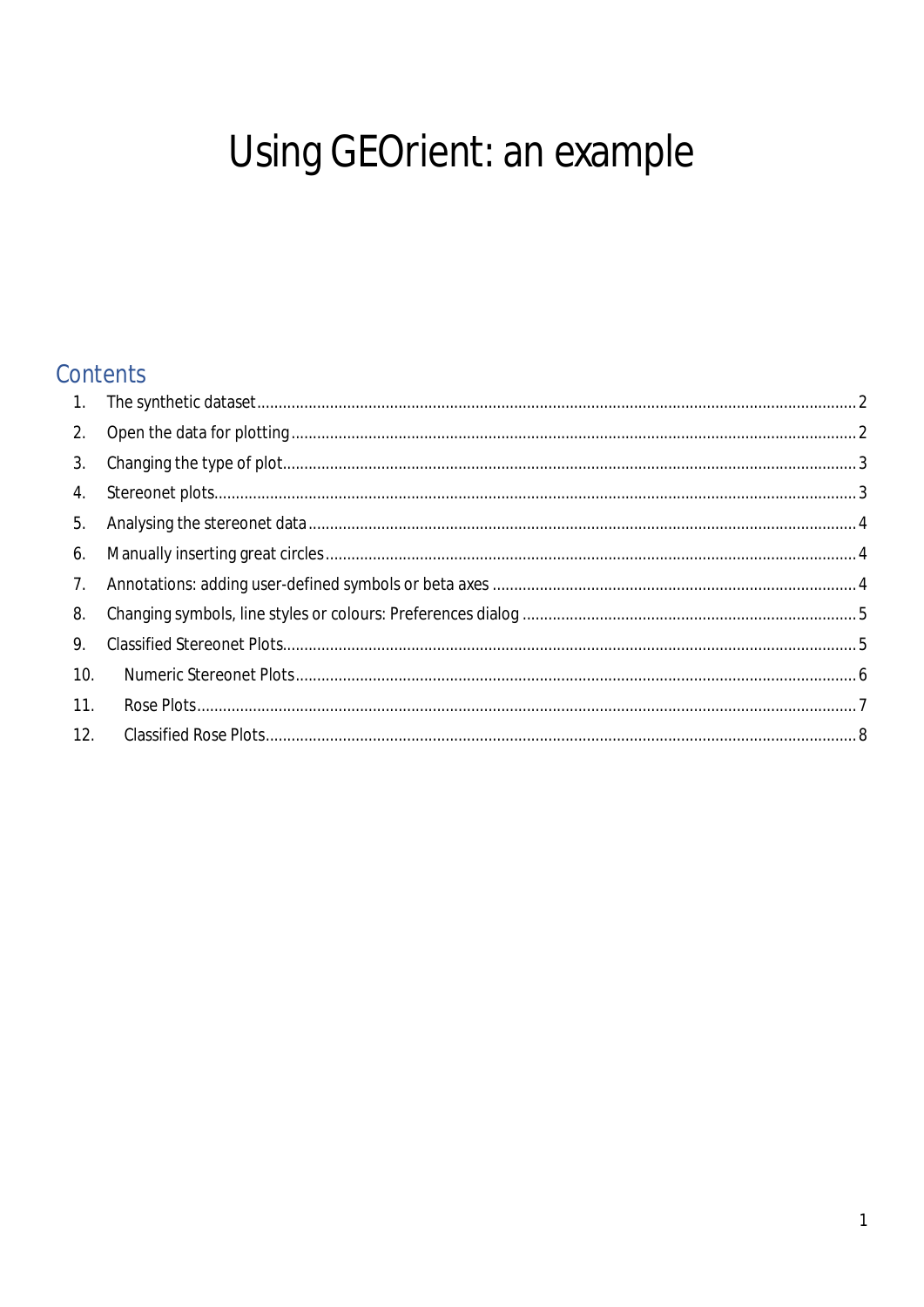# Using GEOrient: an example

## Contents

| 1.  |  |
|-----|--|
| 2.  |  |
| 3.  |  |
| 4.  |  |
| 5.  |  |
|     |  |
| 7.  |  |
| 8.  |  |
| 9.  |  |
| 10. |  |
| 11. |  |
| 12. |  |
|     |  |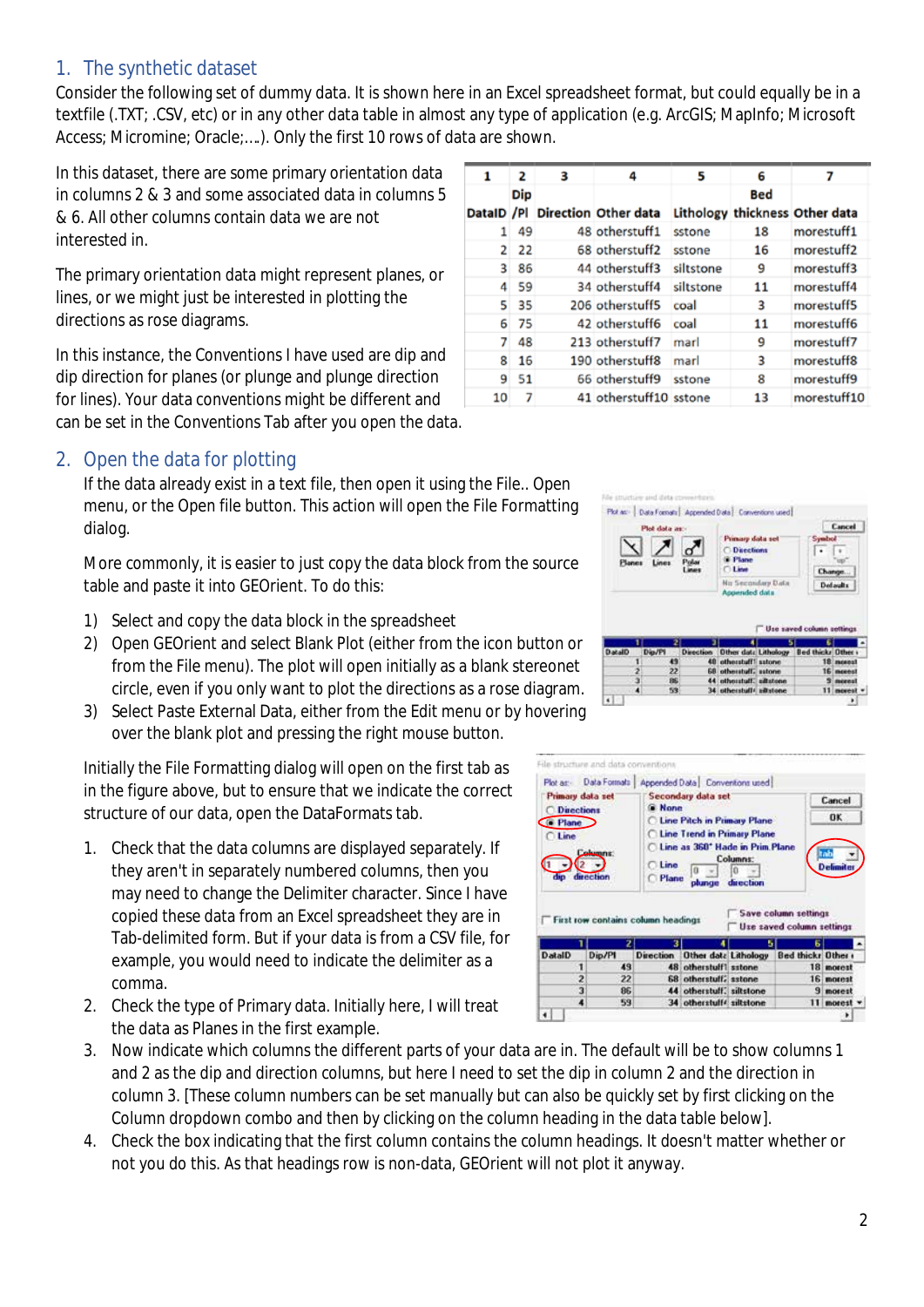#### <span id="page-1-0"></span>1. The synthetic dataset

Consider the following set of dummy data. It is shown here in an Excel spreadsheet format, but could equally be in a textfile (.TXT; .CSV, etc) or in any other data table in almost any type of application (e.g. ArcGIS; MapInfo; Microsoft Access; Micromine; Oracle;….). Only the first 10 rows of data are shown.

In this dataset, there are some primary orientation data in columns 2 & 3 and some associated data in columns 5 & 6. All other columns contain data we are not interested in.

The primary orientation data might represent planes, or lines, or we might just be interested in plotting the directions as rose diagrams.

In this instance, the Conventions I have used are dip and dip direction for planes (or plunge and plunge direction for lines). Your data conventions might be different and can be set in the Conventions Tab after you open the data.

#### <span id="page-1-1"></span>2. Open the data for plotting

If the data already exist in a text file, then open it using the File.. Open menu, or the Open file button. This action will open the File Formatting dialog.

More commonly, it is easier to just copy the data block from the source table and paste it into GEOrient. To do this:

- 1) Select and copy the data block in the spreadsheet
- 2) Open GEOrient and select Blank Plot (either from the icon button or from the File menu). The plot will open initially as a blank stereonet circle, even if you only want to plot the directions as a rose diagram.
- 3) Select Paste External Data, either from the Edit menu or by hovering over the blank plot and pressing the right mouse button.

Initially the File Formatting dialog will open on the first tab as in the figure above, but to ensure that we indicate the correct structure of our data, open the DataFormats tab.

- 1. Check that the data columns are displayed separately. If they aren't in separately numbered columns, then you may need to change the Delimiter character. Since I have copied these data from an Excel spreadsheet they are in Tab-delimited form. But if your data is from a CSV file, for example, you would need to indicate the delimiter as a comma.
- 2. Check the type of Primary data. Initially here, I will treat the data as Planes in the first example.

 $\mathbf{1}$  $\overline{\mathbf{2}}$ R  $\overline{a}$ 5 6  $\overline{z}$ Dip **Bed** DataID /Pl Direction Other data Lithology thickness Other data  $1 \overline{49}$ 48 otherstuff1 sstone 18 morestuff1  $2 \overline{22}$ 68 otherstuff2 sstone 16 morestuff2 44 otherstuff3 siltstone 9 3 86 morestuff3 34 otherstuff4 siltstone 11 morestuff4 4 59 5 35 206 otherstuff5 coal 3 morestuff5 6 75 42 otherstuff6 coal 11 morestuff6  $748$ 9 213 otherstuff7 marl morestuff7 8 16 190 otherstuff8 marl 3 morestuff8  $951$ 66 otherstuff9 sstone 8 morestuff9  $10<sub>7</sub>$ 41 otherstuff10 sstone 13 morestuff10

| Planes         | Plot data as: |     | Primary dola set<br><b>O</b> Directions<br># Plane<br><b>CLIMB</b> | Symbol<br>Change.          | <b>Cancel</b>                            |
|----------------|---------------|-----|--------------------------------------------------------------------|----------------------------|------------------------------------------|
|                |               |     | No Secondary Data<br>Appended data                                 |                            | Detaults                                 |
|                |               |     |                                                                    |                            |                                          |
|                |               |     |                                                                    | Use saved column settings. |                                          |
|                |               |     |                                                                    |                            |                                          |
| <b>OlatalD</b> | Dig/Pl        |     | Direction Other data Lithology                                     | Bed thicks Other           |                                          |
|                |               | 49  | 48 otherstuff! salone                                              |                            |                                          |
|                |               | 22  | <b>68 otherstuff, estone</b>                                       |                            |                                          |
|                |               | BE. | 44 othorstuff, allatone                                            |                            | 18 morest<br>16 morest<br><b>Simonal</b> |

| Primary data set<br><b>Directions</b><br>C Plane<br>∩ Line | <b>Columns:</b>                                 | <b>C</b> None<br><b>C</b> Line | Secondary data set<br><b>C Line Pitch in Primary Plane</b><br><b>Cline Trend in Primary Plane</b><br>C Line as 360° Hade in Prim Plane | Columns:  |                                                   | Cancel<br>0K<br><b>Definite</b> |
|------------------------------------------------------------|-------------------------------------------------|--------------------------------|----------------------------------------------------------------------------------------------------------------------------------------|-----------|---------------------------------------------------|---------------------------------|
| din                                                        | direction<br>First row contains column headings | C Plane                        | olunge                                                                                                                                 | direction | Save column settings<br>Use saved column settings |                                 |
|                                                            | $\overline{z}$                                  |                                |                                                                                                                                        | ь         | Б                                                 |                                 |
| <b>DataID</b>                                              | Dip/PI                                          | <b>Direction</b>               | Other data Lithology                                                                                                                   |           | <b>Bed thicks Other</b>                           |                                 |
|                                                            | 49                                              |                                | 48 otherstuff1 sstone                                                                                                                  |           |                                                   | 18 morest                       |
| 2                                                          | 22                                              |                                | 68 otherstuff, astone                                                                                                                  |           |                                                   | 16 motest                       |
| ä                                                          | 86<br>59                                        |                                | 44 otherstuff, siltstone<br>34 otherstuff4 siltstone                                                                                   |           |                                                   | <b>9</b> morest<br>11 morest    |

- 3. Now indicate which columns the different parts of your data are in. The default will be to show columns 1 and 2 as the dip and direction columns, but here I need to set the dip in column 2 and the direction in column 3. [These column numbers can be set manually but can also be quickly set by first clicking on the Column dropdown combo and then by clicking on the column heading in the data table below].
- 4. Check the box indicating that the first column contains the column headings. It doesn't matter whether or not you do this. As that headings row is non-data, GEOrient will not plot it anyway.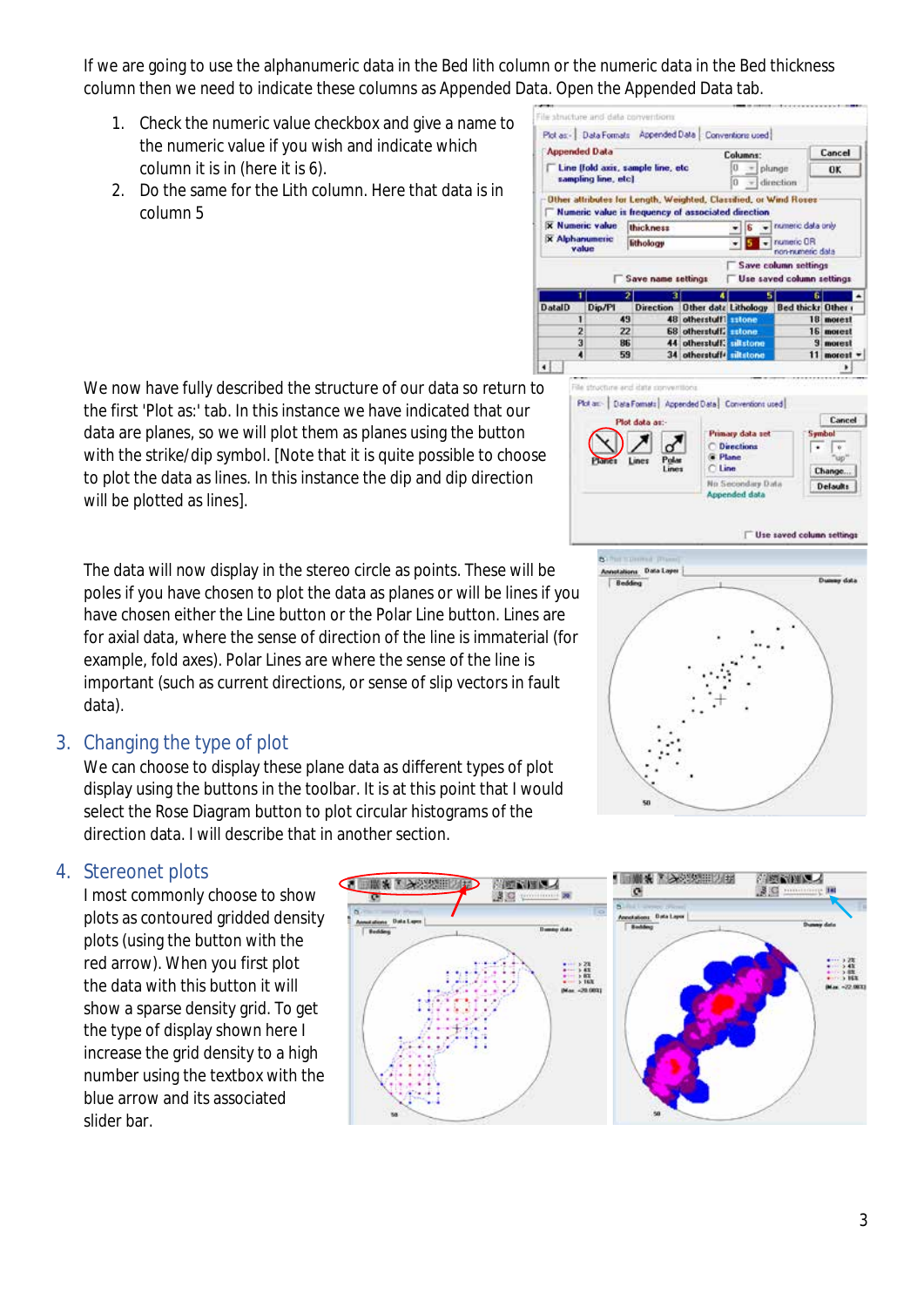If we are going to use the alphanumeric data in the Bed lith column or the numeric data in the Bed thickness column then we need to indicate these columns as Appended Data. Open the Appended Data tab.

life shoutbase and data a

- 1. Check the numeric value checkbox and give a name to the numeric value if you wish and indicate which column it is in (here it is 6).
- 2. Do the same for the Lith column. Here that data is in column 5

We now have fully described the structure of our data so return to the first 'Plot as:' tab. In this instance we have indicated that our data are planes, so we will plot them as planes using the button with the strike/dip symbol. [Note that it is quite possible to choose to plot the data as lines. In this instance the dip and dip direction will be plotted as lines].

The data will now display in the stereo circle as points. These will be poles if you have chosen to plot the data as planes or will be lines if you have chosen either the Line button or the Polar Line button. Lines are for axial data, where the sense of direction of the line is immaterial (for example, fold axes). Polar Lines are where the sense of the line is important (such as current directions, or sense of slip vectors in fault data).

#### <span id="page-2-0"></span>3. Changing the type of plot

We can choose to display these plane data as different types of plot display using the buttons in the toolbar. It is at this point that I would select the Rose Diagram button to plot circular histograms of the direction data. I will describe that in another section.

#### <span id="page-2-1"></span>4. Stereonet plots

I most commonly choose to show plots as contoured gridded density plots (using the button with the red arrow). When you first plot the data with this button it will show a sparse density grid. To get the type of display shown here I increase the grid density to a high number using the textbox with the blue arrow and its associated slider bar.







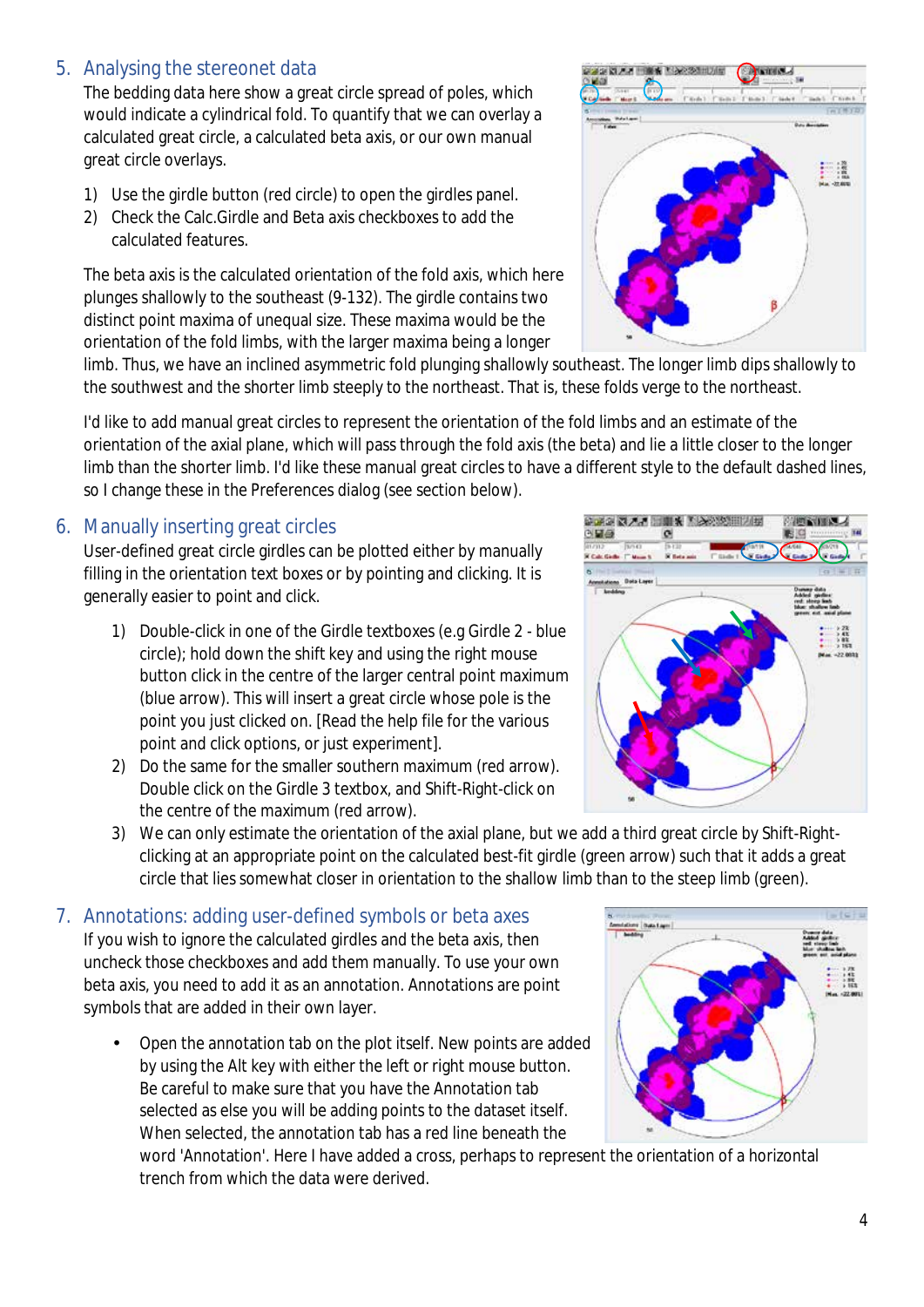#### <span id="page-3-0"></span>5. Analysing the stereonet data

The bedding data here show a great circle spread of poles, which would indicate a cylindrical fold. To quantify that we can overlay a calculated great circle, a calculated beta axis, or our own manual great circle overlays.

- 1) Use the girdle button (red circle) to open the girdles panel.
- 2) Check the Calc.Girdle and Beta axis checkboxes to add the calculated features.

The beta axis is the calculated orientation of the fold axis, which here plunges shallowly to the southeast (9-132). The girdle contains two distinct point maxima of unequal size. These maxima would be the orientation of the fold limbs, with the larger maxima being a longer

limb. Thus, we have an inclined asymmetric fold plunging shallowly southeast. The longer limb dips shallowly to the southwest and the shorter limb steeply to the northeast. That is, these folds verge to the northeast.

I'd like to add manual great circles to represent the orientation of the fold limbs and an estimate of the orientation of the axial plane, which will pass through the fold axis (the beta) and lie a little closer to the longer limb than the shorter limb. I'd like these manual great circles to have a different style to the default dashed lines, so I change these in the Preferences dialog (see section below).

#### <span id="page-3-1"></span>6. Manually inserting great circles

User-defined great circle girdles can be plotted either by manually filling in the orientation text boxes or by pointing and clicking. It is generally easier to point and click.

- 1) Double-click in one of the Girdle textboxes (e.g Girdle 2 blue circle); hold down the shift key and using the right mouse button click in the centre of the larger central point maximum (blue arrow). This will insert a great circle whose pole is the point you just clicked on. [Read the help file for the various point and click options, or just experiment].
- 2) Do the same for the smaller southern maximum (red arrow). Double click on the Girdle 3 textbox, and Shift-Right-click on the centre of the maximum (red arrow).
- 3) We can only estimate the orientation of the axial plane, but we add a third great circle by Shift-Rightclicking at an appropriate point on the calculated best-fit girdle (green arrow) such that it adds a great circle that lies somewhat closer in orientation to the shallow limb than to the steep limb (green).

#### <span id="page-3-2"></span>7. Annotations: adding user-defined symbols or beta axes If you wish to ignore the calculated girdles and the beta axis, then

uncheck those checkboxes and add them manually. To use your own beta axis, you need to add it as an annotation. Annotations are point symbols that are added in their own layer.

Open the annotation tab on the plot itself. New points are added by using the Alt key with either the left or right mouse button. Be careful to make sure that you have the Annotation tab selected as else you will be adding points to the dataset itself. When selected, the annotation tab has a red line beneath the

word 'Annotation'. Here I have added a cross, perhaps to represent the orientation of a horizontal trench from which the data were derived.





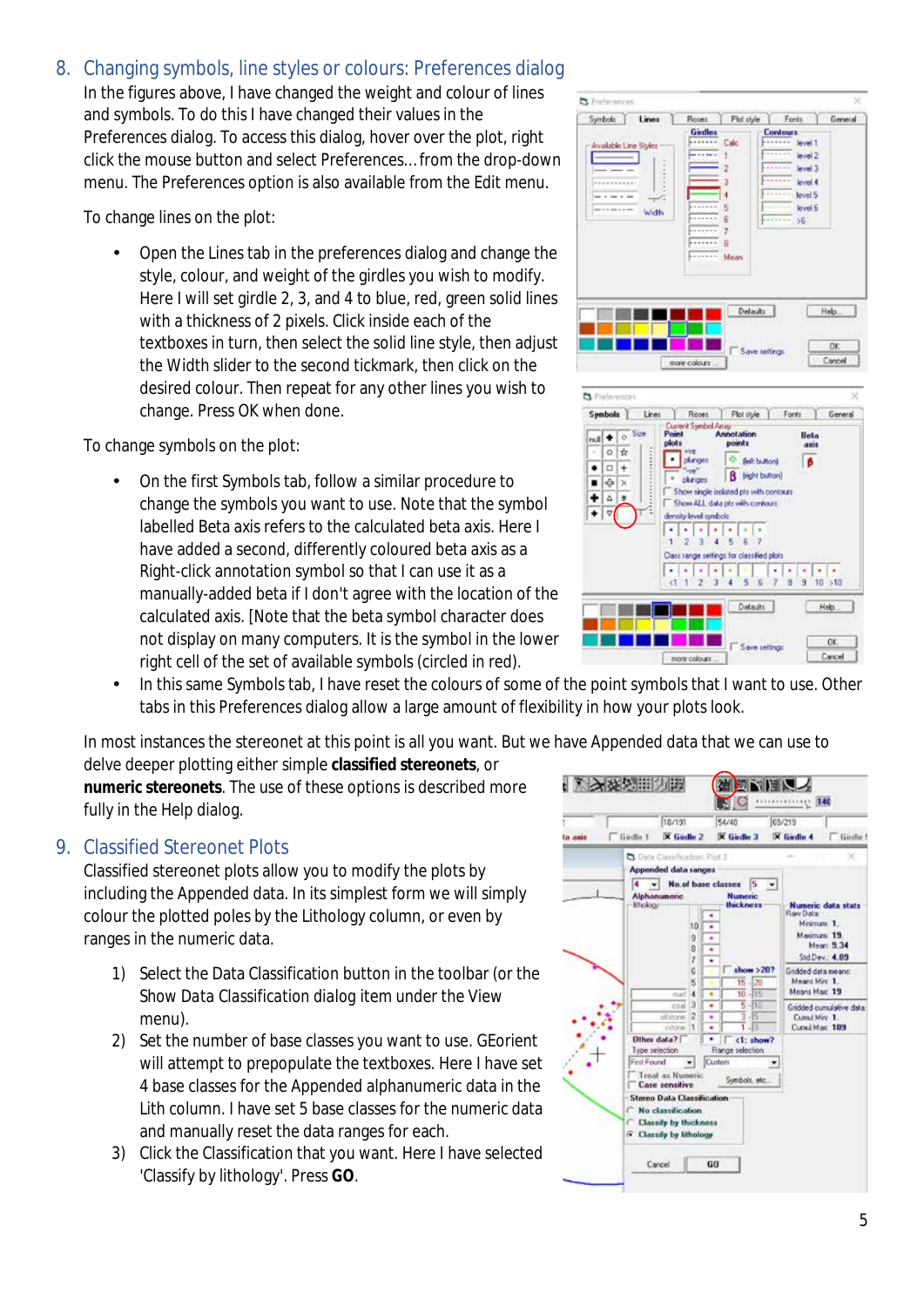#### <span id="page-4-0"></span>8. Changing symbols, line styles or colours: Preferences dialog

In the figures above, I have changed the weight and colour of lines and symbols. To do this I have changed their values in the Preferences dialog. To access this dialog, hover over the plot, right click the mouse button and select Preferences… from the drop-down menu. The Preferences option is also available from the Edit menu.

To change lines on the plot:

Open the Lines tab in the preferences dialog and change the style, colour, and weight of the girdles you wish to modify. Here I will set girdle 2, 3, and 4 to blue, red, green solid lines with a thickness of 2 pixels. Click inside each of the textboxes in turn, then select the solid line style, then adjust the Width slider to the second tickmark, then click on the desired colour. Then repeat for any other lines you wish to change. Press OK when done.

To change symbols on the plot:

On the first Symbols tab, follow a similar procedure to change the symbols you want to use. Note that the symbol labelled Beta axis refers to the calculated beta axis. Here I have added a second, differently coloured beta axis as a Right-click annotation symbol so that I can use it as a manually-added beta if I don't agree with the location of the calculated axis. [Note that the beta symbol character does not display on many computers. It is the symbol in the lower right cell of the set of available symbols (circled in red).



In this same Symbols tab, I have reset the colours of some of the point symbols that I want to use. Other tabs in this Preferences dialog allow a large amount of flexibility in how your plots look.

In most instances the stereonet at this point is all you want. But we have Appended data that we can use to

delve deeper plotting either simple **classified stereonets**, or **numeric stereonets**. The use of these options is described more fully in the Help dialog.

#### <span id="page-4-1"></span>9. Classified Stereonet Plots

Classified stereonet plots allow you to modify the plots by including the Appended data. In its simplest form we will simply colour the plotted poles by the Lithology column, or even by ranges in the numeric data.

- 1) Select the Data Classification button in the toolbar (or the *Show Data Classification dialog* item under the View menu).
- 2) Set the number of base classes you want to use. GEorient will attempt to prepopulate the textboxes. Here I have set 4 base classes for the Appended alphanumeric data in the Lith column. I have set 5 base classes for the numeric data and manually reset the data ranges for each.
- 3) Click the Classification that you want. Here I have selected 'Classify by lithology'. Press **GO**.



OK.

Save cettings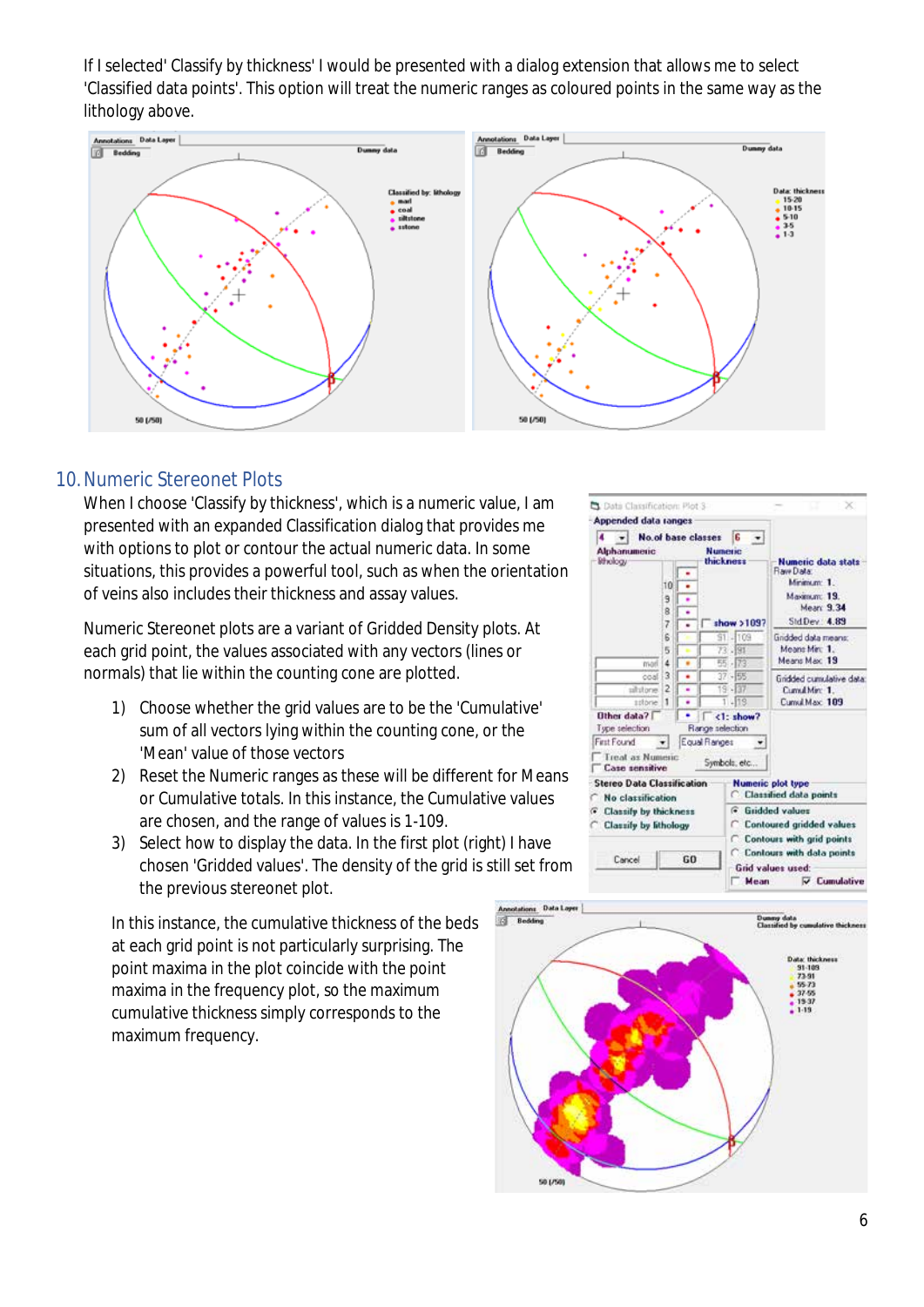If I selected' Classify by thickness' I would be presented with a dialog extension that allows me to select 'Classified data points'. This option will treat the numeric ranges as coloured points in the same way as the lithology above.



#### <span id="page-5-0"></span>10.Numeric Stereonet Plots

When I choose 'Classify by thickness', which is a numeric value, I am presented with an expanded Classification dialog that provides me with options to plot or contour the actual numeric data. In some situations, this provides a powerful tool, such as when the orientation of veins also includes their thickness and assay values.

Numeric Stereonet plots are a variant of Gridded Density plots. At each grid point, the values associated with any vectors (lines or normals) that lie within the counting cone are plotted.

- 1) Choose whether the grid values are to be the 'Cumulative' sum of all vectors lying within the counting cone, or the 'Mean' value of those vectors
- 2) Reset the Numeric ranges as these will be different for Means or Cumulative totals. In this instance, the Cumulative values are chosen, and the range of values is 1-109.
- 3) Select how to display the data. In the first plot (right) I have chosen 'Gridded values'. The density of the grid is still set from the previous stereonet plot.

In this instance, the cumulative thickness of the beds at each grid point is not particularly surprising. The point maxima in the plot coincide with the point maxima in the frequency plot, so the maximum cumulative thickness simply corresponds to the maximum frequency.



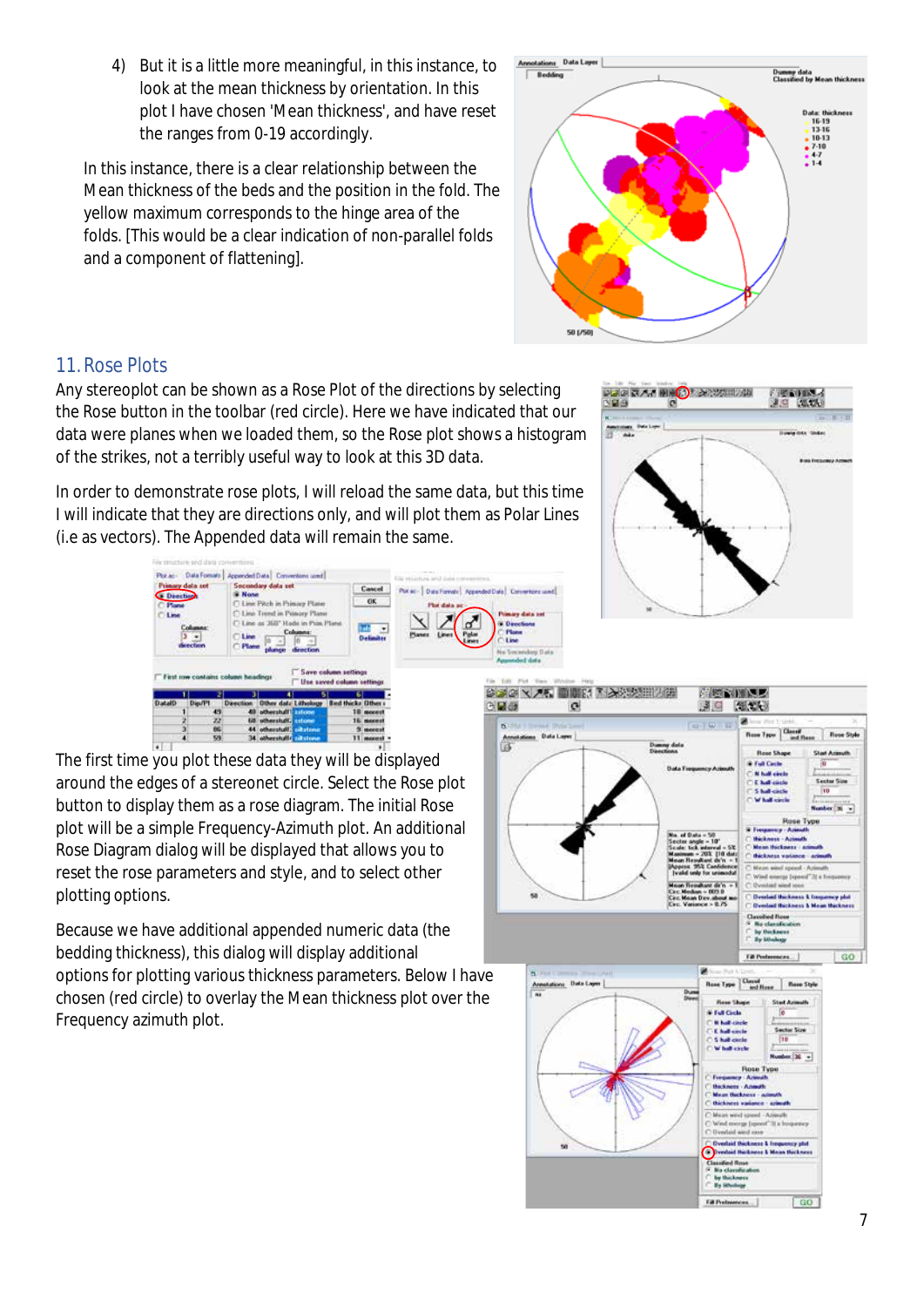#### 4) But it is a little more meaningful, in this instance, to look at the mean thickness by orientation. In this plot I have chosen 'Mean thickness', and have reset the ranges from 0-19 accordingly.

In this instance, there is a clear relationship between the Mean thickness of the beds and the position in the fold. The yellow maximum corresponds to the hinge area of the folds. [This would be a clear indication of non-parallel folds and a component of flattening].

### <span id="page-6-0"></span>11.Rose Plots

Any stereoplot can be shown as a Rose Plot of the directions by selecting the Rose button in the toolbar (red circle). Here we have indicated that our data were planes when we loaded them, so the Rose plot shows a histogram of the strikes, not a terribly useful way to look at this 3D data.

In order to demonstrate rose plots, I will reload the same data, but this time I will indicate that they are directions only, and will plot them as Polar Lines (i.e as vectors). The Appended data will remain the same.

**Dask** a sie .<br>Pêrk în Pri than saved a 公式(X) × 天町 問題に行き入り取り 0回5

The first time you plot these data they will be displayed around the edges of a stereonet circle. Select the Rose plot button to display them as a rose diagram. The initial Rose plot will be a simple Frequency-Azimuth plot. An additional Rose Diagram dialog will be displayed that allows you to reset the rose parameters and style, and to select other plotting options.

Because we have additional appended numeric data (the bedding thickness), this dialog will display additional options for plotting various thickness parameters. Below I have

chosen (red circle) to overlay the Mean thickness plot over the Frequency azimuth plot.



产师合作家

通用 细胞

Rese

 $\mathfrak{g}$ 

信



.<br>Danny dels<br>Denchons